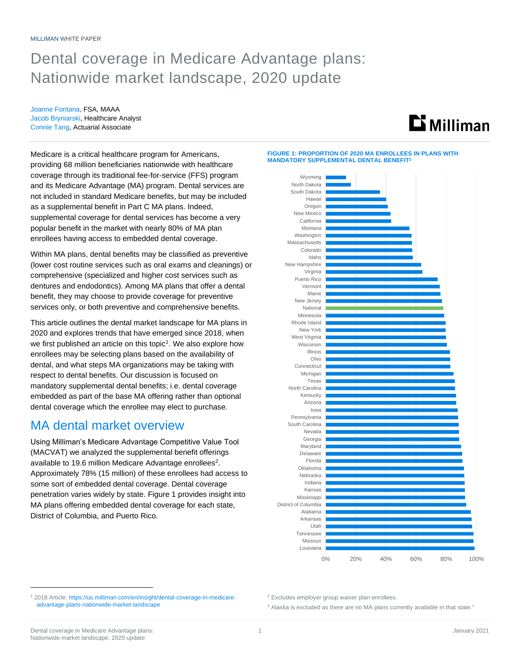# Dental coverage in Medicare Advantage plans: Nationwide market landscape, 2020 update

Joanne Fontana, FSA, MAAA Jacob Bryniarski, Healthcare Analyst Connie Tang, Actuarial Associate



Medicare is a critical healthcare program for Americans, providing 68 million beneficiaries nationwide with healthcare coverage through its traditional fee-for-service (FFS) program and its Medicare Advantage (MA) program. Dental services are not included in standard Medicare benefits, but may be included as a supplemental benefit in Part C MA plans. Indeed, supplemental coverage for dental services has become a very popular benefit in the market with nearly 80% of MA plan enrollees having access to embedded dental coverage.

Within MA plans, dental benefits may be classified as preventive (lower cost routine services such as oral exams and cleanings) or comprehensive (specialized and higher cost services such as dentures and endodontics). Among MA plans that offer a dental benefit, they may choose to provide coverage for preventive services only, or both preventive and comprehensive benefits.

This article outlines the dental market landscape for MA plans in 2020 and explores trends that have emerged since 2018, when we first published an article on this topic<sup>1</sup>. We also explore how enrollees may be selecting plans based on the availability of dental, and what steps MA organizations may be taking with respect to dental benefits. Our discussion is focused on mandatory supplemental dental benefits; i.e. dental coverage embedded as part of the base MA offering rather than optional dental coverage which the enrollee may elect to purchase.

## MA dental market overview

Using Milliman's Medicare Advantage Competitive Value Tool (MACVAT) we analyzed the supplemental benefit offerings available to 19.6 million Medicare Advantage enrollees<sup>2</sup>. Approximately 78% (15 million) of these enrollees had access to some sort of embedded dental coverage. Dental coverage penetration varies widely by state. Figure 1 provides insight into MA plans offering embedded dental coverage for each state, District of Columbia, and Puerto Rico.

**FIGURE 1: PROPORTION OF 2020 MA ENROLLEES IN PLANS WITH MANDATORY SUPPLEMENTAL DENTAL BENEFIT<sup>3</sup>**



<sup>1</sup> 2018 Article[: https://us.milliman.com/en/insight/dental-coverage-in-medicare](https://us.milliman.com/en/insight/dental-coverage-in-medicare-advantage-plans-nationwide-market-landscape)[advantage-plans-nationwide-market-landscape](https://us.milliman.com/en/insight/dental-coverage-in-medicare-advantage-plans-nationwide-market-landscape)

<sup>2</sup> Excludes employer group waiver plan enrollees.

<sup>3</sup> Alaska is excluded as there are no MA plans currently available in that state."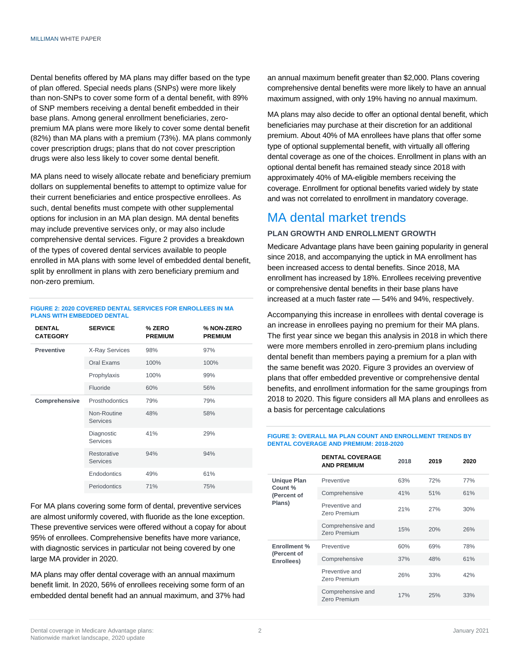Dental benefits offered by MA plans may differ based on the type of plan offered. Special needs plans (SNPs) were more likely than non-SNPs to cover some form of a dental benefit, with 89% of SNP members receiving a dental benefit embedded in their base plans. Among general enrollment beneficiaries, zeropremium MA plans were more likely to cover some dental benefit (82%) than MA plans with a premium (73%). MA plans commonly cover prescription drugs; plans that do not cover prescription drugs were also less likely to cover some dental benefit.

MA plans need to wisely allocate rebate and beneficiary premium dollars on supplemental benefits to attempt to optimize value for their current beneficiaries and entice prospective enrollees. As such, dental benefits must compete with other supplemental options for inclusion in an MA plan design. MA dental benefits may include preventive services only, or may also include comprehensive dental services. Figure 2 provides a breakdown of the types of covered dental services available to people enrolled in MA plans with some level of embedded dental benefit, split by enrollment in plans with zero beneficiary premium and non-zero premium.

#### **FIGURE 2: 2020 COVERED DENTAL SERVICES FOR ENROLLEES IN MA PLANS WITH EMBEDDED DENTAL**

| <b>DENTAL</b><br><b>CATEGORY</b> | <b>SERVICE</b>                 | % ZERO<br><b>PREMIUM</b> | % NON-ZERO<br><b>PREMIUM</b> |
|----------------------------------|--------------------------------|--------------------------|------------------------------|
| <b>Preventive</b>                | <b>X-Ray Services</b>          | 98%                      | 97%                          |
|                                  | Oral Exams                     | 100%                     | 100%                         |
|                                  | Prophylaxis                    | 100%                     | 99%                          |
|                                  | Fluoride                       | 60%                      | 56%                          |
| Comprehensive                    | Prosthodontics                 | 79%                      | 79%                          |
|                                  | Non-Routine<br><b>Services</b> | 48%                      | 58%                          |
|                                  | Diagnostic<br><b>Services</b>  | 41%                      | 29%                          |
|                                  | Restorative<br><b>Services</b> | 94%                      | 94%                          |
|                                  | Endodontics                    | 49%                      | 61%                          |
|                                  | Periodontics                   | 71%                      | 75%                          |

For MA plans covering some form of dental, preventive services are almost uniformly covered, with fluoride as the lone exception. These preventive services were offered without a copay for about 95% of enrollees. Comprehensive benefits have more variance, with diagnostic services in particular not being covered by one large MA provider in 2020.

MA plans may offer dental coverage with an annual maximum benefit limit. In 2020, 56% of enrollees receiving some form of an embedded dental benefit had an annual maximum, and 37% had an annual maximum benefit greater than \$2,000. Plans covering comprehensive dental benefits were more likely to have an annual maximum assigned, with only 19% having no annual maximum.

MA plans may also decide to offer an optional dental benefit, which beneficiaries may purchase at their discretion for an additional premium. About 40% of MA enrollees have plans that offer some type of optional supplemental benefit, with virtually all offering dental coverage as one of the choices. Enrollment in plans with an optional dental benefit has remained steady since 2018 with approximately 40% of MA-eligible members receiving the coverage. Enrollment for optional benefits varied widely by state and was not correlated to enrollment in mandatory coverage.

# MA dental market trends

#### **PLAN GROWTH AND ENROLLMENT GROWTH**

Medicare Advantage plans have been gaining popularity in general since 2018, and accompanying the uptick in MA enrollment has been increased access to dental benefits. Since 2018, MA enrollment has increased by 18%. Enrollees receiving preventive or comprehensive dental benefits in their base plans have increased at a much faster rate — 54% and 94%, respectively.

Accompanying this increase in enrollees with dental coverage is an increase in enrollees paying no premium for their MA plans. The first year since we began this analysis in 2018 in which there were more members enrolled in zero-premium plans including dental benefit than members paying a premium for a plan with the same benefit was 2020. Figure 3 provides an overview of plans that offer embedded preventive or comprehensive dental benefits, and enrollment information for the same groupings from 2018 to 2020. This figure considers all MA plans and enrollees as a basis for percentage calculations

#### **FIGURE 3: OVERALL MA PLAN COUNT AND ENROLLMENT TRENDS BY DENTAL COVERAGE AND PREMIUM: 2018-2020**

|                                                        | <b>DENTAL COVERAGE</b><br><b>AND PREMIUM</b> | 2018 | 2019 | 2020 |
|--------------------------------------------------------|----------------------------------------------|------|------|------|
| <b>Unique Plan</b><br>Count %<br>(Percent of<br>Plans) | Preventive                                   | 63%  | 72%  | 77%  |
|                                                        | Comprehensive                                | 41%  | 51%  | 61%  |
|                                                        | Preventive and<br>Zero Premium               | 21%  | 27%  | 30%  |
|                                                        | Comprehensive and<br>Zero Premium            | 15%  | 20%  | 26%  |
| Enrollment %<br>(Percent of<br>Enrollees)              | Preventive                                   | 60%  | 69%  | 78%  |
|                                                        | Comprehensive                                | 37%  | 48%  | 61%  |
|                                                        | Preventive and<br>Zero Premium               | 26%  | 33%  | 42%  |
|                                                        | Comprehensive and<br>Zero Premium            | 17%  | 25%  | 33%  |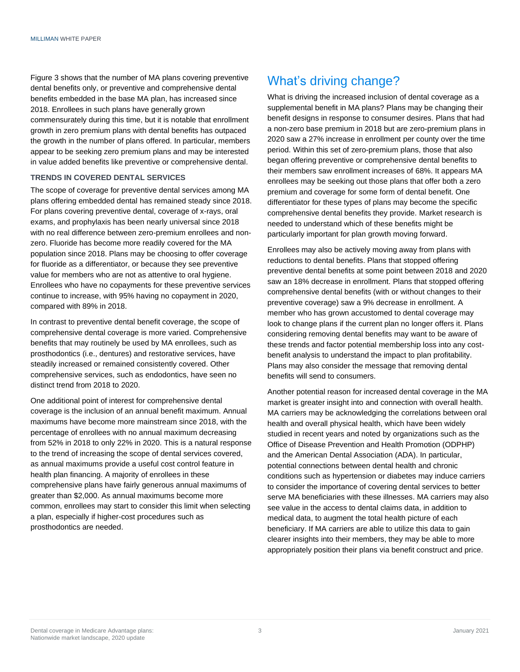Figure 3 shows that the number of MA plans covering preventive dental benefits only, or preventive and comprehensive dental benefits embedded in the base MA plan, has increased since 2018. Enrollees in such plans have generally grown commensurately during this time, but it is notable that enrollment growth in zero premium plans with dental benefits has outpaced the growth in the number of plans offered. In particular, members appear to be seeking zero premium plans and may be interested in value added benefits like preventive or comprehensive dental.

#### **TRENDS IN COVERED DENTAL SERVICES**

The scope of coverage for preventive dental services among MA plans offering embedded dental has remained steady since 2018. For plans covering preventive dental, coverage of x-rays, oral exams, and prophylaxis has been nearly universal since 2018 with no real difference between zero-premium enrollees and nonzero. Fluoride has become more readily covered for the MA population since 2018. Plans may be choosing to offer coverage for fluoride as a differentiator, or because they see preventive value for members who are not as attentive to oral hygiene. Enrollees who have no copayments for these preventive services continue to increase, with 95% having no copayment in 2020, compared with 89% in 2018.

In contrast to preventive dental benefit coverage, the scope of comprehensive dental coverage is more varied. Comprehensive benefits that may routinely be used by MA enrollees, such as prosthodontics (i.e., dentures) and restorative services, have steadily increased or remained consistently covered. Other comprehensive services, such as endodontics, have seen no distinct trend from 2018 to 2020.

One additional point of interest for comprehensive dental coverage is the inclusion of an annual benefit maximum. Annual maximums have become more mainstream since 2018, with the percentage of enrollees with no annual maximum decreasing from 52% in 2018 to only 22% in 2020. This is a natural response to the trend of increasing the scope of dental services covered, as annual maximums provide a useful cost control feature in health plan financing. A majority of enrollees in these comprehensive plans have fairly generous annual maximums of greater than \$2,000. As annual maximums become more common, enrollees may start to consider this limit when selecting a plan, especially if higher-cost procedures such as prosthodontics are needed.

## What's driving change?

What is driving the increased inclusion of dental coverage as a supplemental benefit in MA plans? Plans may be changing their benefit designs in response to consumer desires. Plans that had a non-zero base premium in 2018 but are zero-premium plans in 2020 saw a 27% increase in enrollment per county over the time period. Within this set of zero-premium plans, those that also began offering preventive or comprehensive dental benefits to their members saw enrollment increases of 68%. It appears MA enrollees may be seeking out those plans that offer both a zero premium and coverage for some form of dental benefit. One differentiator for these types of plans may become the specific comprehensive dental benefits they provide. Market research is needed to understand which of these benefits might be particularly important for plan growth moving forward.

Enrollees may also be actively moving away from plans with reductions to dental benefits. Plans that stopped offering preventive dental benefits at some point between 2018 and 2020 saw an 18% decrease in enrollment. Plans that stopped offering comprehensive dental benefits (with or without changes to their preventive coverage) saw a 9% decrease in enrollment. A member who has grown accustomed to dental coverage may look to change plans if the current plan no longer offers it. Plans considering removing dental benefits may want to be aware of these trends and factor potential membership loss into any costbenefit analysis to understand the impact to plan profitability. Plans may also consider the message that removing dental benefits will send to consumers.

Another potential reason for increased dental coverage in the MA market is greater insight into and connection with overall health. MA carriers may be acknowledging the correlations between oral health and overall physical health, which have been widely studied in recent years and noted by organizations such as the Office of Disease Prevention and Health Promotion (ODPHP) and the American Dental Association (ADA). In particular, potential connections between dental health and chronic conditions such as hypertension or diabetes may induce carriers to consider the importance of covering dental services to better serve MA beneficiaries with these illnesses. MA carriers may also see value in the access to dental claims data, in addition to medical data, to augment the total health picture of each beneficiary. If MA carriers are able to utilize this data to gain clearer insights into their members, they may be able to more appropriately position their plans via benefit construct and price.